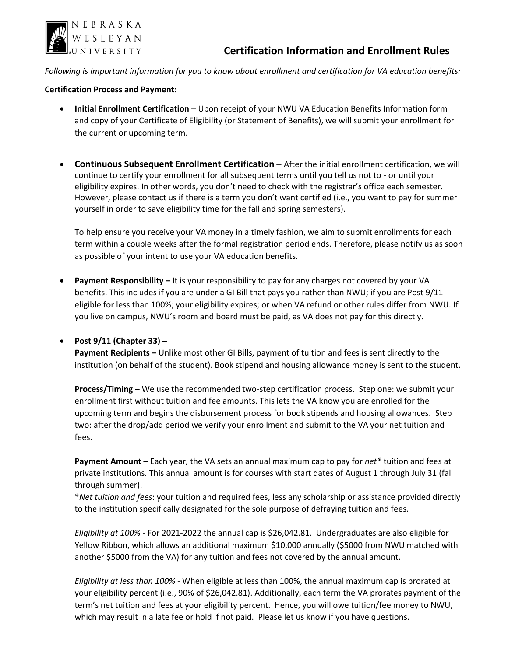

*Following is important information for you to know about enrollment and certification for VA education benefits:*

## **Certification Process and Payment:**

- **Initial Enrollment Certification**  Upon receipt of your NWU VA Education Benefits Information form and copy of your Certificate of Eligibility (or Statement of Benefits), we will submit your enrollment for the current or upcoming term.
- **Continuous Subsequent Enrollment Certification –** After the initial enrollment certification, we will continue to certify your enrollment for all subsequent terms until you tell us not to - or until your eligibility expires. In other words, you don't need to check with the registrar's office each semester. However, please contact us if there is a term you don't want certified (i.e., you want to pay for summer yourself in order to save eligibility time for the fall and spring semesters).

To help ensure you receive your VA money in a timely fashion, we aim to submit enrollments for each term within a couple weeks after the formal registration period ends. Therefore, please notify us as soon as possible of your intent to use your VA education benefits.

• **Payment Responsibility –** It is your responsibility to pay for any charges not covered by your VA benefits. This includes if you are under a GI Bill that pays you rather than NWU; if you are Post 9/11 eligible for less than 100%; your eligibility expires; or when VA refund or other rules differ from NWU. If you live on campus, NWU's room and board must be paid, as VA does not pay for this directly.

## • **Post 9/11 (Chapter 33) –**

**Payment Recipients –** Unlike most other GI Bills, payment of tuition and fees is sent directly to the institution (on behalf of the student). Book stipend and housing allowance money is sent to the student.

**Process/Timing –** We use the recommended two-step certification process. Step one: we submit your enrollment first without tuition and fee amounts. This lets the VA know you are enrolled for the upcoming term and begins the disbursement process for book stipends and housing allowances. Step two: after the drop/add period we verify your enrollment and submit to the VA your net tuition and fees.

**Payment Amount –** Each year, the VA sets an annual maximum cap to pay for *net\** tuition and fees at private institutions. This annual amount is for courses with start dates of August 1 through July 31 (fall through summer).

\**Net tuition and fees*: your tuition and required fees, less any scholarship or assistance provided directly to the institution specifically designated for the sole purpose of defraying tuition and fees.

*Eligibility at 100% -* For 2021-2022 the annual cap is \$26,042.81. Undergraduates are also eligible for Yellow Ribbon, which allows an additional maximum \$10,000 annually (\$5000 from NWU matched with another \$5000 from the VA) for any tuition and fees not covered by the annual amount.

*Eligibility at less than 100% -* When eligible at less than 100%, the annual maximum cap is prorated at your eligibility percent (i.e., 90% of \$26,042.81). Additionally, each term the VA prorates payment of the term's net tuition and fees at your eligibility percent. Hence, you will owe tuition/fee money to NWU, which may result in a late fee or hold if not paid. Please let us know if you have questions.